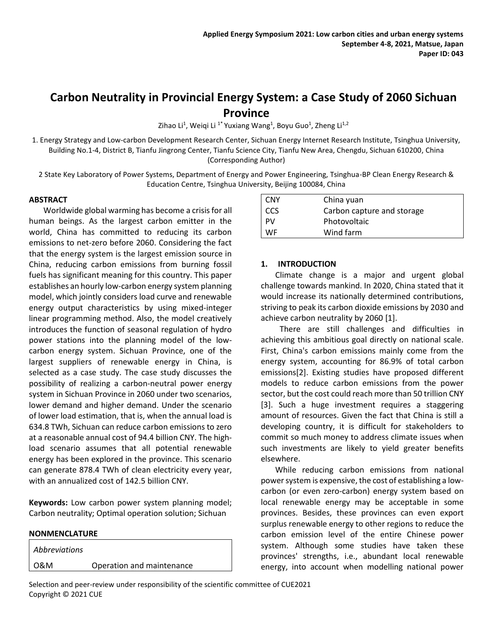# **Carbon Neutrality in Provincial Energy System: a Case Study of 2060 Sichuan Province**

Zihao Li<sup>1</sup>, Weiqi Li <sup>1\*</sup> Yuxiang Wang<sup>1</sup>, Boyu Guo<sup>1</sup>, Zheng Li<sup>1,2</sup>

1. Energy Strategy and Low-carbon Development Research Center, Sichuan Energy Internet Research Institute, Tsinghua University, Building No.1-4, District B, Tianfu Jingrong Center, Tianfu Science City, Tianfu New Area, Chengdu, Sichuan 610200, China (Corresponding Author)

2 State Key Laboratory of Power Systems, Department of Energy and Power Engineering, Tsinghua-BP Clean Energy Research & Education Centre, Tsinghua University, Beijing 100084, China

# **ABSTRACT**

Worldwide global warming has become a crisis for all human beings. As the largest carbon emitter in the world, China has committed to reducing its carbon emissions to net-zero before 2060. Considering the fact that the energy system is the largest emission source in China, reducing carbon emissions from burning fossil fuels has significant meaning for this country. This paper establishes an hourly low-carbon energy system planning model, which jointly considers load curve and renewable energy output characteristics by using mixed-integer linear programming method. Also, the model creatively introduces the function of seasonal regulation of hydro power stations into the planning model of the lowcarbon energy system. Sichuan Province, one of the largest suppliers of renewable energy in China, is selected as a case study. The case study discusses the possibility of realizing a carbon-neutral power energy system in Sichuan Province in 2060 under two scenarios, lower demand and higher demand. Under the scenario of lower load estimation, that is, when the annual load is 634.8 TWh, Sichuan can reduce carbon emissions to zero at a reasonable annual cost of 94.4 billion CNY. The highload scenario assumes that all potential renewable energy has been explored in the province. This scenario can generate 878.4 TWh of clean electricity every year, with an annualized cost of 142.5 billion CNY.

**Keywords:** Low carbon power system planning model; Carbon neutrality; Optimal operation solution; Sichuan

## **NONMENCLATURE**

| Abbreviations |                           |
|---------------|---------------------------|
| l 0&M         | Operation and maintenance |

| <b>CNY</b> | China yuan                 |
|------------|----------------------------|
| <b>CCS</b> | Carbon capture and storage |
| PV         | Photovoltaic               |
| WF         | Wind farm                  |

# **1. INTRODUCTION**

Climate change is a major and urgent global challenge towards mankind. In 2020, China stated that it would increase its nationally determined contributions, striving to peak its carbon dioxide emissions by 2030 and achieve carbon neutrality by 2060 [\[1\].](#page-5-0)

There are still challenges and difficulties in achieving this ambitious goal directly on national scale. First, China's carbon emissions mainly come from the energy system, accounting for 86.9% of total carbon emission[s\[2\].](#page-5-1) Existing studies have proposed different models to reduce carbon emissions from the power sector, but the cost could reach more than 50 trillion CNY [\[3\].](#page-5-2) Such a huge investment requires a staggering amount of resources. Given the fact that China is still a developing country, it is difficult for stakeholders to commit so much money to address climate issues when such investments are likely to yield greater benefits elsewhere.

While reducing carbon emissions from national power system is expensive, the cost of establishing a lowcarbon (or even zero-carbon) energy system based on local renewable energy may be acceptable in some provinces. Besides, these provinces can even export surplus renewable energy to other regions to reduce the carbon emission level of the entire Chinese power system. Although some studies have taken these provinces' strengths, i.e., abundant local renewable energy, into account when modelling national power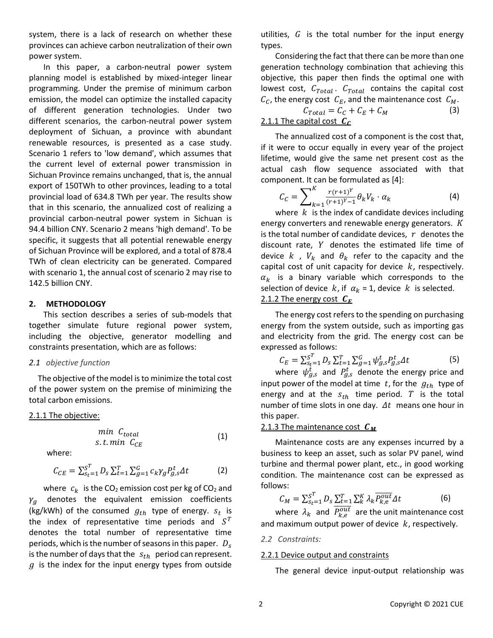system, there is a lack of research on whether these provinces can achieve carbon neutralization of their own power system.

In this paper, a carbon-neutral power system planning model is established by mixed-integer linear programming. Under the premise of minimum carbon emission, the model can optimize the installed capacity of different generation technologies. Under two different scenarios, the carbon-neutral power system deployment of Sichuan, a province with abundant renewable resources, is presented as a case study. Scenario 1 refers to 'low demand', which assumes that the current level of external power transmission in Sichuan Province remains unchanged, that is, the annual export of 150TWh to other provinces, leading to a total provincial load of 634.8 TWh per year. The results show that in this scenario, the annualized cost of realizing a provincial carbon-neutral power system in Sichuan is 94.4 billion CNY. Scenario 2 means 'high demand'. To be specific, it suggests that all potential renewable energy of Sichuan Province will be explored, and a total of 878.4 TWh of clean electricity can be generated. Compared with scenario 1, the annual cost of scenario 2 may rise to 142.5 billion CNY.

## **2. METHODOLOGY**

This section describes a series of sub-models that together simulate future regional power system, including the objective, generator modelling and constraints presentation, which are as follows:

#### *2.1 objective function*

The objective of the model is to minimize the total cost of the power system on the premise of minimizing the total carbon emissions.

#### 2.1.1 The objective:

$$
\begin{array}{ll}\nmin & C_{total} \\
s.t. & min & C_{CE}\n\end{array}\n\tag{1}
$$

where:

$$
C_{CE} = \sum_{s_t=1}^{S^T} D_s \sum_{t=1}^{T} \sum_{g=1}^{G} c_k \gamma_g P_{g,s}^t \Delta t \tag{2}
$$

where  $c_k$  is the CO<sub>2</sub> emission cost per kg of CO<sub>2</sub> and  $\gamma_g$  denotes the equivalent emission coefficients (kg/kWh) of the consumed  $g_{th}$  type of energy.  $s_t$  is the index of representative time periods and  $S^T$ denotes the total number of representative time periods, which is the number of seasons in this paper.  $D_s$ is the number of days that the  $s_{th}$  period can represent.  $g$  is the index for the input energy types from outside

utilities,  $G$  is the total number for the input energy types.

Considering the fact that there can be more than one generation technology combination that achieving this objective, this paper then finds the optimal one with lowest cost,  $C_{Total}$ .  $C_{Total}$  contains the capital cost  $C_C$ , the energy cost  $C_E$ , and the maintenance cost  $C_M$ .

$$
C_{Total} = C_C + C_E + C_M
$$
 (3)  
2.1.1 The capital cost  $\mathbf{C}_C$ 

The annualized cost of a component is the cost that, if it were to occur equally in every year of the project lifetime, would give the same net present cost as the actual cash flow sequence associated with that component. It can be formulated a[s \[4\]:](#page-5-3)

$$
C_C = \sum_{k=1}^{K} \frac{r(r+1)^Y}{(r+1)^Y - 1} \theta_k V_k \cdot \alpha_k \tag{4}
$$

where  $k$  is the index of candidate devices including energy converters and renewable energy generators.  $K$ is the total number of candidate devices,  $r$  denotes the discount rate.  $Y$  denotes the estimated life time of device  $k$ ,  $V_k$  and  $\theta_k$  refer to the capacity and the capital cost of unit capacity for device  $k$ , respectively.  $\alpha_k$  is a binary variable which corresponds to the selection of device  $k$ , if  $\alpha_k = 1$ , device  $k$  is selected. 2.1.2 The energy cost  $C_F$ 

The energy cost refers to the spending on purchasing energy from the system outside, such as importing gas and electricity from the grid. The energy cost can be expressed as follows:

$$
C_E = \sum_{s_t=1}^{S^T} D_s \sum_{t=1}^{T} \sum_{g=1}^{G} \psi_{g,s}^t P_{g,s}^t \Delta t
$$
 (5)

where  $\psi_{g,s}^{t}$  and  $P_{g,s}^{t}$  denote the energy price and input power of the model at time  $t$ , for the  $g_{th}$  type of energy and at the  $s_{th}$  time period. T is the total number of time slots in one day.  $\Delta t$  means one hour in this paper.

#### 2.1.3 The maintenance cost  $C_M$

Maintenance costs are any expenses incurred by a business to keep an asset, such as solar PV panel, wind turbine and thermal power plant, etc., in good working condition. The maintenance cost can be expressed as follows:

$$
C_M = \sum_{s_t=1}^{S^T} D_s \sum_{t=1}^{T} \sum_{k}^{K} \lambda_k \overline{P_{k,e}^{out}} \Delta t
$$
 (6)

where  $\lambda_k$  and  $\overline{P_{k,e}^{out}}$  are the unit maintenance cost and maximum output power of device  $k$ , respectively.

#### *2.2 Constraints:*

#### 2.2.1 Device output and constraints

The general device input-output relationship was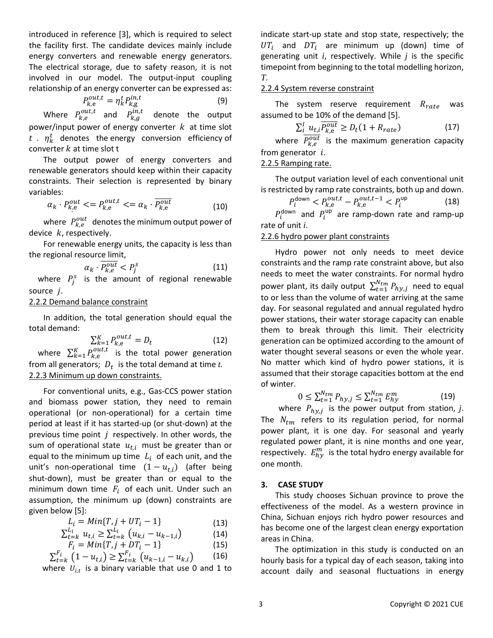introduced in reference [\[3\],](#page-5-2) which is required to select the facility first. The candidate devices mainly include energy converters and renewable energy generators. The electrical storage, due to safety reason, it is not involved in our model. The output-input coupling relationship of an energy converter can be expressed as:

$$
P_{k,e}^{out,t} = \eta_k^t P_{k,g}^{in,t} \tag{9}
$$

Where  $P_{k,e}^{out,t}$  and  $P_{k,g}^{in,t}$  denote the output power/input power of energy converter  $k$  at time slot  $t$  .  $\eta^t_k$  denotes the energy conversion efficiency of converter  $k$  at time slot t

The output power of energy converters and renewable generators should keep within their capacity constraints. Their selection is represented by binary variables:

$$
\alpha_k \cdot P_{k, e}^{out} \langle P_{k, e}^{out, t} \rangle \langle P_{k, e}^{out} \rangle \tag{10}
$$

where  $\ P^{out}_{k,e}$  denotes the minimum output power of device  $k$ , respectively.

For renewable energy units, the capacity is less than the regional resource limit,

$$
\alpha_k \cdot \overline{P_{k,e}^{out}} < P_j^s \tag{11}
$$

where  $P_j^s$  is the amount of regional renewable source  $i$ .

## 2.2.2 Demand balance constraint

In addition, the total generation should equal the total demand:

$$
\sum_{k=1}^{K} P_{k,e}^{out,t} = D_t \tag{12}
$$

where  $\sum_{k=1}^{K} P_{k,e}^{out,t}$  is the total power generation from all generators;  $D_t$  is the total demand at time  $t$ . 2.2.3 Minimum up down constraints.

For conventional units, e.g., Gas-CCS power station and biomass power station, they need to remain operational (or non-operational) for a certain time period at least if it has started-up (or shut-down) at the previous time point  $j$  respectively. In other words, the sum of operational state  $u_{t,i}$  must be greater than or equal to the minimum up time  $L_i$  of each unit, and the unit's non-operational time  $(1 - u_{t,i})$  (after being shut-down), must be greater than or equal to the minimum down time  $F_i$  of each unit. Under such an assumption, the minimum up (down) constraints are given below [\[5\]:](#page-5-4)

$$
L_i = Min{T, j + UT_i - 1}
$$
\n(13)

$$
\sum_{t=k}^{L_i} u_{t,i} \ge \sum_{t=k}^{L_i} \left( u_{k,i} - u_{k-1,i} \right) \tag{14}
$$

$$
F_i = Min\{T, j + DT_i - 1\}
$$
\n(15)

$$
\sum_{t=k}^{F_i} (1 - u_{t,i}) \ge \sum_{t=k}^{F_i} (u_{k-1,i} - u_{k,i})
$$
 (16)

where  $U_{i,t}$  is a binary variable that use 0 and 1 to

indicate start-up state and stop state, respectively; the  $UT_i$  and  $DT_i$  are minimum up (down) time of generating unit *i*, respectively. While *j* is the specific timepoint from beginning to the total modelling horizon, *T*.

# 2.2.4 System reverse constraint

The system reserve requirement  $R_{rate}$  was assumed to be 10% of the demand [\[5\].](#page-5-4)

$$
\sum_{i}^{I} u_{t,i} \overline{P_{k,e}^{out}} \ge D_t (1 + R_{rate})
$$
\n(17)

where  $\overline{P_{k,e}^{out}}$  is the maximum generation capacity from generator  $i$ .

# 2.2.5 Ramping rate.

The output variation level of each conventional unit is restricted by ramp rate constraints, both up and down.

$$
P_i^{\text{down}} < P_{k,e}^{out,t} - P_{k,e}^{out,t-1} < P_i^{\text{up}} \tag{18}
$$

 $P_i^{\text{down}}$  and  $P_i^{\text{up}}$  are ramp-down rate and ramp-up rate of unit *i*.

# 2.2.6 hydro power plant constraints

Hydro power not only needs to meet device constraints and the ramp rate constraint above, but also needs to meet the water constraints. For normal hydro power plant, its daily output  $\sum_{t=1}^{N_{tm}} P_{hy,j}$  need to equal to or less than the volume of water arriving at the same day. For seasonal regulated and annual regulated hydro power stations, their water storage capacity can enable them to break through this limit. Their electricity generation can be optimized according to the amount of water thought several seasons or even the whole year. No matter which kind of hydro power stations, it is assumed that their storage capacities bottom at the end of winter.

$$
0 \le \sum_{t=1}^{N_{tm}} P_{hy,j} \le \sum_{t=1}^{N_{tm}} E_{hy}^m \tag{19}
$$

where  $P_{hy,j}$  is the power output from station, j. The  $N_{tm}$  refers to its regulation period, for normal power plant, it is one day. For seasonal and yearly regulated power plant, it is nine months and one year, respectively.  $E_{hy}^{m}$  is the total hydro energy available for one month.

## **3. CASE STUDY**

This study chooses Sichuan province to prove the effectiveness of the model. As a western province in China, Sichuan enjoys rich hydro power resources and has become one of the largest clean energy exportation areas in China.

The optimization in this study is conducted on an hourly basis for a typical day of each season, taking into account daily and seasonal fluctuations in energy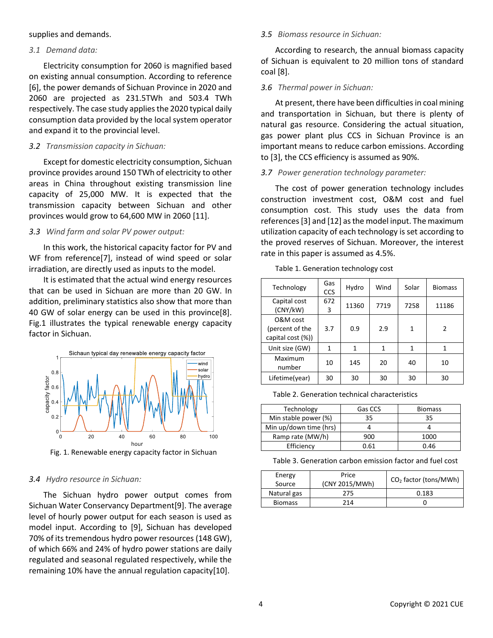supplies and demands.

## *3.1 Demand data:*

Electricity consumption for 2060 is magnified based on existing annual consumption. According to reference [\[6\],](#page-5-5) the power demands of Sichuan Province in 2020 and 2060 are projected as 231.5TWh and 503.4 TWh respectively. The case study applies the 2020 typical daily consumption data provided by the local system operator and expand it to the provincial level.

# *3.2 Transmission capacity in Sichuan:*

Except for domestic electricity consumption, Sichuan province provides around 150 TWh of electricity to other areas in China throughout existing transmission line capacity of 25,000 MW. It is expected that the transmission capacity between Sichuan and other provinces would grow to 64,600 MW in 2060 [\[11\].](#page-5-6)

# *3.3 Wind farm and solar PV power output:*

In this work, the historical capacity factor for PV and WF from referenc[e\[7\],](#page-5-7) instead of wind speed or solar irradiation, are directly used as inputs to the model.

It is estimated that the actual wind energy resources that can be used in Sichuan are more than 20 GW. In addition, preliminary statistics also show that more than 40 GW of solar energy can be used in this provinc[e\[8\].](#page-5-8) Fig.1 illustrates the typical renewable energy capacity factor in Sichuan.



Fig. 1. Renewable energy capacity factor in Sichuan

## *3.4 Hydro resource in Sichuan:*

The Sichuan hydro power output comes from Sichuan Water Conservancy Departmen[t\[9\].](#page-5-9) The average level of hourly power output for each season is used as model input. According to [\[9\],](#page-5-9) Sichuan has developed 70% of its tremendous hydro power resources (148 GW), of which 66% and 24% of hydro power stations are daily regulated and seasonal regulated respectively, while the remaining 10% have the annual regulation capacit[y\[10\].](#page-5-10)

## *3.5 Biomass resource in Sichuan:*

According to research, the annual biomass capacity of Sichuan is equivalent to 20 million tons of standard coal [\[8\].](#page-5-8)

# *3.6 Thermal power in Sichuan:*

At present, there have been difficulties in coal mining and transportation in Sichuan, but there is plenty of natural gas resource. Considering the actual situation, gas power plant plus CCS in Sichuan Province is an important means to reduce carbon emissions. According to [\[3\],](#page-5-2) the CCS efficiency is assumed as 90%.

# *3.7 Power generation technology parameter:*

The cost of power generation technology includes construction investment cost, O&M cost and fuel consumption cost. This study uses the data from reference[s\[3\]](#page-5-2) an[d \[12\]](#page-5-11) as the model input. The maximum utilization capacity of each technology is set according to the proved reserves of Sichuan. Moreover, the interest rate in this paper is assumed as 4.5%.

| Technology                                       | Gas<br><b>CCS</b> | Hydro | Wind | Solar | <b>Biomass</b> |
|--------------------------------------------------|-------------------|-------|------|-------|----------------|
| Capital cost<br>(CNY/kW)                         | 672<br>3          | 11360 | 7719 | 7258  | 11186          |
| O&M cost<br>(percent of the<br>capital cost (%)) | 3.7               | 0.9   | 2.9  | 1     | $\mathcal{P}$  |
| Unit size (GW)                                   | 1                 | 1     | 1    | 1     | 1              |
| Maximum<br>number                                | 10                | 145   | 20   | 40    | 10             |
| Lifetime(year)                                   | 30                | 30    | 30   | 30    | 30             |

Table 1. Generation technology cost

Table 2. Generation technical characteristics

| Technology             | Gas CCS | <b>Biomass</b> |  |
|------------------------|---------|----------------|--|
| Min stable power (%)   | 35      | 35             |  |
| Min up/down time (hrs) |         |                |  |
| Ramp rate (MW/h)       | 900     | 1000           |  |
| Efficiency             | 0.61    | 0.46           |  |

Table 3. Generation carbon emission factor and fuel cost

| Energy<br>Source | Price<br>(CNY 2015/MWh) | CO <sub>2</sub> factor (tons/MWh) |
|------------------|-------------------------|-----------------------------------|
| Natural gas      | 275                     | 0.183                             |
| <b>Biomass</b>   | 214                     |                                   |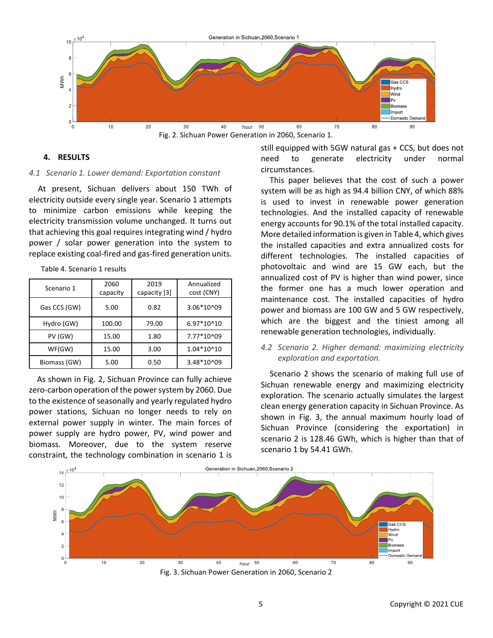

Fig. 2. Sichuan Power Generation in 2060, Scenario 1.

## **4. RESULTS**

## *4.1 Scenario 1. Lower demand: Exportation constant*

At present, Sichuan delivers about 150 TWh of electricity outside every single year. Scenario 1 attempts to minimize carbon emissions while keeping the electricity transmission volume unchanged. It turns out that achieving this goal requires integrating wind / hydro power / solar power generation into the system to replace existing coal-fired and gas-fired generation units.

Table 4. Scenario 1 results

| Scenario 1   | 2060<br>capacity | 2019<br>capacity [3] | Annualized<br>cost (CNY) |
|--------------|------------------|----------------------|--------------------------|
| Gas CCS (GW) | 5.00             | 0.82                 | 3.06*10^09               |
| Hydro (GW)   | 100.00           | 79.00                | 6.97*10^10               |
| PV (GW)      | 15.00            | 1.80                 | 7.77*10^09               |
| WF(GW)       | 15.00            | 3.00                 | 1.04*10^10               |
| Biomass (GW) | 5.00             | 0.50                 | 3.48*10^09               |

As shown in Fig. 2, Sichuan Province can fully achieve zero-carbon operation of the power system by 2060. Due to the existence of seasonally and yearly regulated hydro power stations, Sichuan no longer needs to rely on external power supply in winter. The main forces of power supply are hydro power, PV, wind power and biomass. Moreover, due to the system reserve constraint, the technology combination in scenario 1 is

still equipped with 5GW natural gas + CCS, but does not need to generate electricity under normal circumstances.

This paper believes that the cost of such a power system will be as high as 94.4 billion CNY, of which 88% is used to invest in renewable power generation technologies. And the installed capacity of renewable energy accounts for 90.1% of the total installed capacity. More detailed information is given in Table 4, which gives the installed capacities and extra annualized costs for different technologies. The installed capacities of photovoltaic and wind are 15 GW each, but the annualized cost of PV is higher than wind power, since the former one has a much lower operation and maintenance cost. The installed capacities of hydro power and biomass are 100 GW and 5 GW respectively, which are the biggest and the tiniest among all renewable generation technologies, individually.

# *4.2 Scenario 2. Higher demand: maximizing electricity exploration and exportation.*

Scenario 2 shows the scenario of making full use of Sichuan renewable energy and maximizing electricity exploration. The scenario actually simulates the largest clean energy generation capacity in Sichuan Province. As shown in Fig. 3, the annual maximum hourly load of Sichuan Province (considering the exportation) in scenario 2 is 128.46 GWh, which is higher than that of scenario 1 by 54.41 GWh.



Fig. 3. Sichuan Power Generation in 2060, Scenario 2